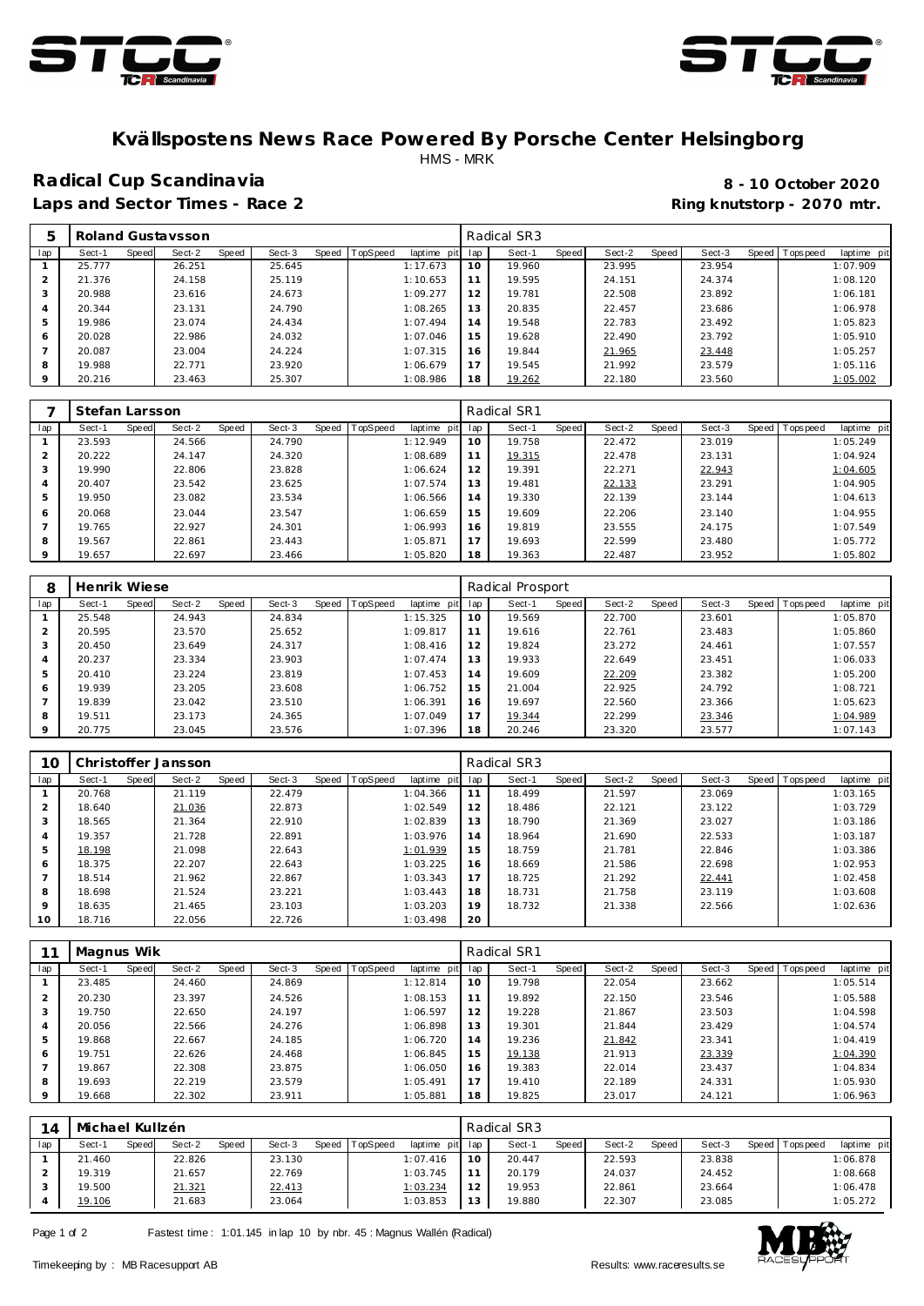



#### **Kvällspostens News Race Powered By Porsche Center Helsingborg** HMS - MRK

# **Radical Cup Scandinavia 8 - 10 October 2020**

Laps and Sector Times - Race 2 **Ring and Sector Times - Ring knutstorp** - 2070 mtr.

|                |        |       | Roland Gustaysson |       |        |       |          |             |     | Radical SR3 |       |        |       |        |         |           |             |
|----------------|--------|-------|-------------------|-------|--------|-------|----------|-------------|-----|-------------|-------|--------|-------|--------|---------|-----------|-------------|
| lap            | Sect-1 | Speed | Sect-2            | Speed | Sect-3 | Speed | TopSpeed | laptime pit | lap | Sect-1      | Speed | Sect-2 | Speed | Sect-3 | Speed I | Tops peed | laptime pit |
|                | 25.777 |       | 26.251            |       | 25.645 |       |          | 1:17.673    | 10  | 19.960      |       | 23.995 |       | 23.954 |         |           | 1:07.909    |
| $\mathcal{P}$  | 21.376 |       | 24.158            |       | 25.119 |       |          | 1:10.653    | 11  | 19.595      |       | 24.151 |       | 24.374 |         |           | 1:08.120    |
| 3              | 20.988 |       | 23.616            |       | 24.673 |       |          | 1:09.277    | 12  | 19.781      |       | 22.508 |       | 23.892 |         |           | 1:06.181    |
| $\overline{4}$ | 20.344 |       | 23.131            |       | 24.790 |       |          | 1:08.265    | 13  | 20.835      |       | 22.457 |       | 23.686 |         |           | 1:06.978    |
| 5              | 19.986 |       | 23.074            |       | 24.434 |       |          | 1:07.494    | 14  | 19.548      |       | 22.783 |       | 23.492 |         |           | 1:05.823    |
| 6              | 20.028 |       | 22.986            |       | 24.032 |       |          | 1:07.046    | 15  | 19.628      |       | 22.490 |       | 23.792 |         |           | 1:05.910    |
|                | 20.087 |       | 23.004            |       | 24.224 |       |          | 1:07.315    | 16  | 19.844      |       | 21.965 |       | 23.448 |         |           | 1:05.257    |
| 8              | 19.988 |       | 22.771            |       | 23.920 |       |          | 1:06.679    | 17  | 19.545      |       | 21.992 |       | 23.579 |         |           | 1:05.116    |
| $\circ$        | 20.216 |       | 23.463            |       | 25.307 |       |          | 1:08.986    | 18  | 19.262      |       | 22.180 |       | 23.560 |         |           | 1:05.002    |

|                | Stefan Larsson |       |        |       |        |       |          |             |     | Radical SR1 |       |        |       |        |                |             |
|----------------|----------------|-------|--------|-------|--------|-------|----------|-------------|-----|-------------|-------|--------|-------|--------|----------------|-------------|
| lap            | Sect-1         | Speed | Sect-2 | Speed | Sect-3 | Speed | TopSpeed | laptime pit | lap | Sect-1      | Speed | Sect-2 | Speed | Sect-3 | Speed Topspeed | laptime pit |
|                | 23.593         |       | 24.566 |       | 24.790 |       |          | 1:12.949    | 10  | 19.758      |       | 22.472 |       | 23.019 |                | 1:05.249    |
| $\overline{2}$ | 20.222         |       | 24.147 |       | 24.320 |       |          | 1:08.689    | 11  | 19.315      |       | 22.478 |       | 23.131 |                | 1:04.924    |
| 3              | 19.990         |       | 22.806 |       | 23.828 |       |          | 1:06.624    | 12  | 19.391      |       | 22.271 |       | 22.943 |                | 1:04.605    |
| 4              | 20.407         |       | 23.542 |       | 23.625 |       |          | 1:07.574    | 13  | 19.481      |       | 22.133 |       | 23.291 |                | 1:04.905    |
| 5              | 19.950         |       | 23.082 |       | 23.534 |       |          | 1:06.566    | 14  | 19.330      |       | 22.139 |       | 23.144 |                | 1:04.613    |
| 6              | 20.068         |       | 23.044 |       | 23.547 |       |          | 1:06.659    | 15  | 19.609      |       | 22.206 |       | 23.140 |                | 1:04.955    |
|                | 19.765         |       | 22.927 |       | 24.301 |       |          | 1:06.993    | 16  | 19.819      |       | 23.555 |       | 24.175 |                | 1:07.549    |
| 8              | 19.567         |       | 22.861 |       | 23.443 |       |          | 1:05.871    | 17  | 19.693      |       | 22.599 |       | 23.480 |                | 1:05.772    |
| $\circ$        | 19.657         |       | 22.697 |       | 23.466 |       |          | 1:05.820    | 18  | 19.363      |       | 22.487 |       | 23.952 |                | 1:05.802    |

|                | Henrik Wiese |       |        |       |        |       |          |             |     | Radical Prosport |       |        |              |        |                 |             |
|----------------|--------------|-------|--------|-------|--------|-------|----------|-------------|-----|------------------|-------|--------|--------------|--------|-----------------|-------------|
| lap            | Sect-1       | Speed | Sect-2 | Speed | Sect-3 | Speed | TopSpeed | laptime pit | lap | Sect-1           | Speed | Sect-2 | <b>Speed</b> | Sect-3 | Speed Tops peed | laptime pit |
|                | 25.548       |       | 24.943 |       | 24.834 |       |          | 1:15.325    | 10  | 19.569           |       | 22.700 |              | 23.601 |                 | 1:05.870    |
|                | 20.595       |       | 23.570 |       | 25.652 |       |          | 1:09.817    | 11  | 19.616           |       | 22.761 |              | 23.483 |                 | 1:05.860    |
| 3              | 20.450       |       | 23.649 |       | 24.317 |       |          | 1:08.416    | 12  | 19.824           |       | 23.272 |              | 24.461 |                 | 1:07.557    |
| $\overline{4}$ | 20.237       |       | 23.334 |       | 23.903 |       |          | 1:07.474    | 13  | 19.933           |       | 22.649 |              | 23.451 |                 | 1:06.033    |
| 5              | 20.410       |       | 23.224 |       | 23.819 |       |          | 1:07.453    | 14  | 19.609           |       | 22.209 |              | 23.382 |                 | 1:05.200    |
| 6              | 19.939       |       | 23.205 |       | 23.608 |       |          | 1:06.752    | 15  | 21.004           |       | 22.925 |              | 24.792 |                 | 1:08.721    |
|                | 19.839       |       | 23.042 |       | 23.510 |       |          | 1:06.391    | 16  | 19.697           |       | 22.560 |              | 23.366 |                 | 1:05.623    |
| 8              | 19.511       |       | 23.173 |       | 24.365 |       |          | 1:07.049    | 17  | 19.344           |       | 22.299 |              | 23.346 |                 | 1:04.989    |
| 9              | 20.775       |       | 23.045 |       | 23.576 |       |          | 1:07.396    | 18  | 20.246           |       | 23.320 |              | 23.577 |                 | 1:07.143    |

| 10             |        |       | Christoffer Jansson |       |        |       |                 |             |     | Radical SR3 |       |        |       |        |         |           |             |
|----------------|--------|-------|---------------------|-------|--------|-------|-----------------|-------------|-----|-------------|-------|--------|-------|--------|---------|-----------|-------------|
| lap            | Sect-1 | Speed | Sect-2              | Speed | Sect-3 | Speed | <b>TopSpeed</b> | laptime pit | lap | Sect-1      | Speed | Sect-2 | Speed | Sect-3 | Speed I | Tops peed | laptime pit |
|                | 20.768 |       | 21.119              |       | 22.479 |       |                 | 1:04.366    |     | 18.499      |       | 21.597 |       | 23.069 |         |           | 1:03.165    |
| $\overline{2}$ | 18.640 |       | 21.036              |       | 22.873 |       |                 | 1:02.549    | 12  | 18.486      |       | 22.121 |       | 23.122 |         |           | 1:03.729    |
| 3              | 18.565 |       | 21.364              |       | 22.910 |       |                 | 1:02.839    | 13  | 18.790      |       | 21.369 |       | 23.027 |         |           | 1:03.186    |
| $\overline{4}$ | 19.357 |       | 21.728              |       | 22.891 |       |                 | 1:03.976    | 14  | 18.964      |       | 21.690 |       | 22.533 |         |           | 1:03.187    |
| 5              | 18.198 |       | 21.098              |       | 22.643 |       |                 | 1:01.939    | 15  | 18.759      |       | 21.781 |       | 22.846 |         |           | 1:03.386    |
| 6              | 18.375 |       | 22.207              |       | 22.643 |       |                 | 1:03.225    | 16  | 18.669      |       | 21.586 |       | 22.698 |         |           | 1:02.953    |
|                | 18.514 |       | 21.962              |       | 22.867 |       |                 | 1:03.343    | 17  | 18.725      |       | 21.292 |       | 22.441 |         |           | 1:02.458    |
| 8              | 18.698 |       | 21.524              |       | 23.221 |       |                 | 1:03.443    | 18  | 18.731      |       | 21.758 |       | 23.119 |         |           | 1:03.608    |
| $\circ$        | 18.635 |       | 21.465              |       | 23.103 |       |                 | 1:03.203    | 19  | 18.732      |       | 21.338 |       | 22.566 |         |           | 1:02.636    |
| 10             | 18.716 |       | 22.056              |       | 22.726 |       |                 | 1:03.498    | 20  |             |       |        |       |        |         |           |             |

|         | Magnus Wik |       |        |       |        |       |          |             |     | Radical SR1 |       |        |       |        |       |           |             |
|---------|------------|-------|--------|-------|--------|-------|----------|-------------|-----|-------------|-------|--------|-------|--------|-------|-----------|-------------|
| lap     | Sect-1     | Speed | Sect-2 | Speed | Sect-3 | Speed | TopSpeed | laptime pit | lap | Sect-1      | Speed | Sect-2 | Speed | Sect-3 | Speed | Tops peed | laptime pit |
|         | 23.485     |       | 24.460 |       | 24.869 |       |          | 1:12.814    | 10  | 19.798      |       | 22.054 |       | 23.662 |       |           | 1:05.514    |
|         | 20.230     |       | 23.397 |       | 24.526 |       |          | 1:08.153    | 11  | 19.892      |       | 22.150 |       | 23.546 |       |           | 1:05.588    |
| 3       | 19.750     |       | 22.650 |       | 24.197 |       |          | 1:06.597    | 12  | 19.228      |       | 21.867 |       | 23.503 |       |           | 1:04.598    |
| 4       | 20.056     |       | 22.566 |       | 24.276 |       |          | 1:06.898    | 13  | 19.301      |       | 21.844 |       | 23.429 |       |           | 1:04.574    |
| 5       | 19.868     |       | 22.667 |       | 24.185 |       |          | 1:06.720    | 14  | 19.236      |       | 21.842 |       | 23.341 |       |           | 1:04.419    |
| 6       | 19.751     |       | 22.626 |       | 24.468 |       |          | 1:06.845    | 15  | 19.138      |       | 21.913 |       | 23.339 |       |           | 1:04.390    |
|         | 19.867     |       | 22.308 |       | 23.875 |       |          | 1:06.050    | 16  | 19.383      |       | 22.014 |       | 23.437 |       |           | 1:04.834    |
| 8       | 19.693     |       | 22.219 |       | 23.579 |       |          | 1:05.491    | 17  | 19.410      |       | 22.189 |       | 24.331 |       |           | 1:05.930    |
| $\circ$ | 19.668     |       | 22.302 |       | 23.911 |       |          | 1:05.881    | 18  | 19.825      |       | 23.017 |       | 24.121 |       |           | 1:06.963    |

| 14  | Michael Kullzén |       |        |       |        |       |          |                 |        | Radical SR3 |       |        |              |        |       |            |             |
|-----|-----------------|-------|--------|-------|--------|-------|----------|-----------------|--------|-------------|-------|--------|--------------|--------|-------|------------|-------------|
| lap | Sect-1          | Speed | Sect-2 | Speed | Sect-3 | Speed | TopSpeed | laptime pit lap |        | Sect-1      | Speed | Sect-2 | <b>Speed</b> | Sect-3 | Speed | Tops pee d | laptime pit |
|     | 21.460          |       | 22.826 |       | 23.130 |       |          | 1:07.416        | 10     | 20.447      |       | 22.593 |              | 23.838 |       |            | 1:06.878    |
|     | 19.319          |       | 21.657 |       | 22.769 |       |          | 1:03.745        |        | 20.179      |       | 24.037 |              | 24.452 |       |            | 1:08.668    |
|     | 19.500          |       | 21.321 |       | 22.413 |       |          | 1:03.234        | $\sim$ | 19.953      |       | 22.861 |              | 23.664 |       |            | 1:06.478    |
|     | 19.106          |       | 21.683 |       | 23.064 |       |          | 1:03.853        | 13     | 19.880      |       | 22.307 |              | 23.085 |       |            | 1:05.272    |